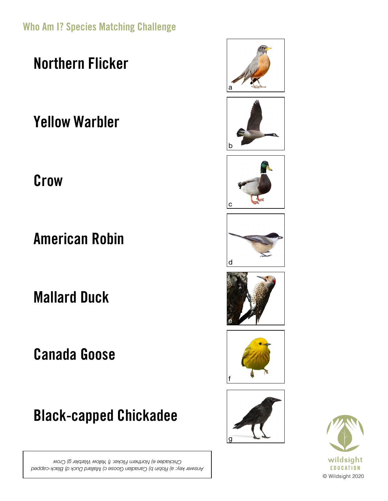Who Am I? Species Matching Challenge

Northern Flicker

Yellow Warbler

**Crow** 

American Robin

Mallard Duck

Canada Goose

Black-capped Chickadee

*Answer key: a) Robin b) Canadian Goose c) Mallard Duck d) Black-capped Chickadee e) Northern Flicker. f) Yellow Warbler g) Crow*















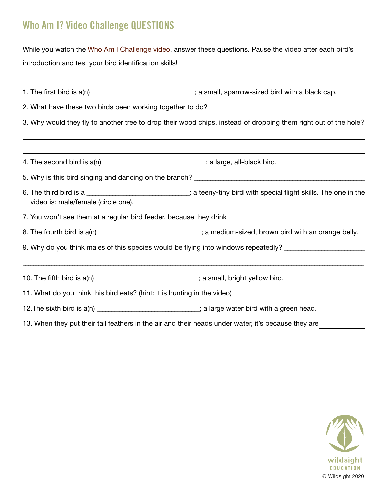## Who Am I? Video Challenge QUESTIONS

While you watch the Who [Am I Challenge video](https://vimeo.com/420336570), answer these questions. Pause the video after each bird's introduction and test your bird identification skills!

| 1. The first bird is $a(n)$ __________________________; a small, sparrow-sized bird with a black cap.           |                                                                                                                   |
|-----------------------------------------------------------------------------------------------------------------|-------------------------------------------------------------------------------------------------------------------|
| 3. Why would they fly to another tree to drop their wood chips, instead of dropping them right out of the hole? |                                                                                                                   |
|                                                                                                                 |                                                                                                                   |
|                                                                                                                 |                                                                                                                   |
| video is: male/female (circle one).                                                                             | 6. The third bird is a ____________________________; a teeny-tiny bird with special flight skills. The one in the |
| 7. You won't see them at a regular bird feeder, because they drink _________________________________            |                                                                                                                   |
|                                                                                                                 | 8. The fourth bird is a(n) __________________________; a medium-sized, brown bird with an orange belly.           |
| 9. Why do you think males of this species would be flying into windows repeatedly? _______________________      |                                                                                                                   |
| 10. The fifth bird is a(n) __________________________; a small, bright yellow bird.                             |                                                                                                                   |
| 11. What do you think this bird eats? (hint: it is hunting in the video) _________________________________      |                                                                                                                   |
| 12. The sixth bird is a(n) ____________________________; a large water bird with a green head.                  |                                                                                                                   |
| 13. When they put their tail feathers in the air and their heads under water, it's because they are             |                                                                                                                   |